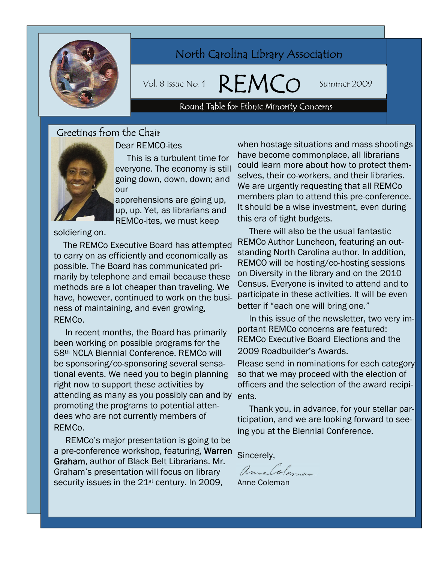

## North Carolina Library Association

Vol. 8 Issue No. 1  $\mathsf{K} \vdash \mathsf{N} \mathsf{N}$  ( ) Summer 2009

# e No. 1 **REMCO** Sum<br>Round Table for Ethnic Minority Concerns

## Greetings from the Chair



#### Dear REMCO-ites

 This is a turbulent time for everyone. The economy is still going down, down, down; and our

apprehensions are going up, up, up. Yet, as librarians and REMCo-ites, we must keep

soldiering on.

 The REMCo Executive Board has attempted to carry on as efficiently and economically as possible. The Board has communicated primarily by telephone and email because these methods are a lot cheaper than traveling. We have, however, continued to work on the business of maintaining, and even growing, REMCo.

 In recent months, the Board has primarily been working on possible programs for the 58th NCLA Biennial Conference. REMCo will be sponsoring/co-sponsoring several sensational events. We need you to begin planning right now to support these activities by attending as many as you possibly can and by ents. promoting the programs to potential attendees who are not currently members of REMCo.

 REMCo's major presentation is going to be a pre-conference workshop, featuring, Warren Graham, author of Black Belt Librarians. Mr. Graham's presentation will focus on library security issues in the 21<sup>st</sup> century. In 2009,

when hostage situations and mass shootings have become commonplace, all librarians could learn more about how to protect themselves, their co-workers, and their libraries. We are urgently requesting that all REMCo members plan to attend this pre-conference. It should be a wise investment, even during this era of tight budgets.

 There will also be the usual fantastic REMCo Author Luncheon, featuring an outstanding North Carolina author. In addition, REMCO will be hosting/co-hosting sessions on Diversity in the library and on the 2010 Census. Everyone is invited to attend and to participate in these activities. It will be even better if "each one will bring one."

 In this issue of the newsletter, two very important REMCo concerns are featured: REMCo Executive Board Elections and the 2009 Roadbuilder's Awards.

Please send in nominations for each category so that we may proceed with the election of officers and the selection of the award recipi-

 Thank you, in advance, for your stellar participation, and we are looking forward to seeing you at the Biennial Conference.

Sincerely,

anne Coleman

Anne Coleman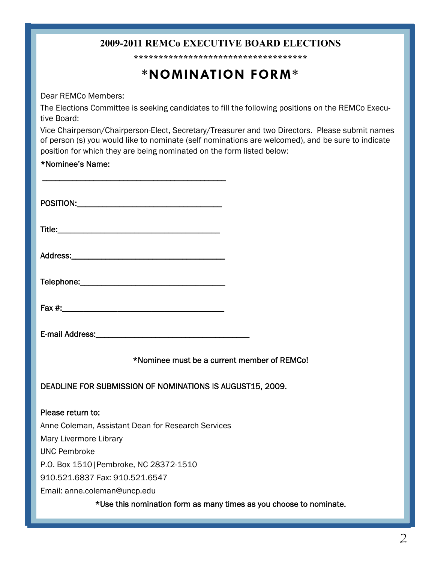## **2009-2011 REMCo EXECUTIVE BOARD ELECTIONS**

**\*\*\*\*\*\*\*\*\*\*\*\*\*\*\*\*\*\*\*\*\*\*\*\*\*\*\*\*\*\*\*\*\*\*\*** 

## **\*NOMINATION FORM\***

Dear REMCo Members:

The Elections Committee is seeking candidates to fill the following positions on the REMCo Executive Board:

Vice Chairperson/Chairperson-Elect, Secretary/Treasurer and two Directors. Please submit names of person (s) you would like to nominate (self nominations are welcomed), and be sure to indicate position for which they are being nominated on the form listed below:

#### \*Nominee's Name:

| POSITION: |  |  |  |
|-----------|--|--|--|
|           |  |  |  |

 $\overline{\phantom{a}}$  , where the contract of the contract of the contract of the contract of the contract of the contract of the contract of the contract of the contract of the contract of the contract of the contract of the contr

Title:

| Address: |  |
|----------|--|
|          |  |

Telephone:\_\_\_\_\_\_\_\_\_\_\_\_\_\_\_\_\_\_\_\_\_\_\_\_\_\_\_\_\_\_\_\_\_\_

Fax  $\#$ :

\*Nominee must be a current member of REMCo!

DEADLINE FOR SUBMISSION OF NOMINATIONS IS AUGUST15, 2009.

Please return to: Anne Coleman, Assistant Dean for Research Services Mary Livermore Library UNC Pembroke P.O. Box 1510|Pembroke, NC 28372-1510 910.521.6837 Fax: 910.521.6547 Email: anne.coleman@uncp.edu

\*Use this nomination form as many times as you choose to nominate.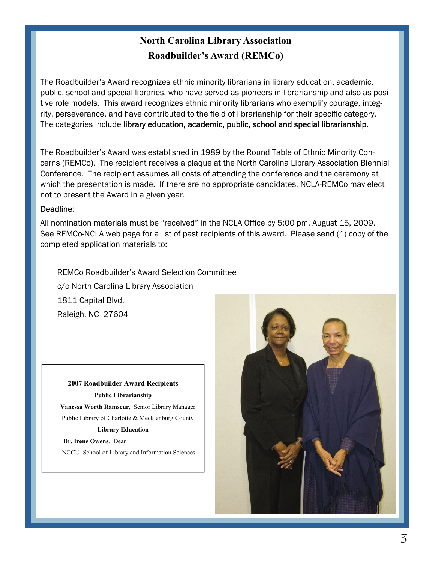## **North Carolina Library Association Roadbuilder's Award (REMCo)**

The Roadbuilder's Award recognizes ethnic minority librarians in library education, academic, public, school and special libraries, who have served as pioneers in librarianship and also as positive role models. This award recognizes ethnic minority librarians who exemplify courage, integrity, perseverance, and have contributed to the field of librarianship for their specific category. The categories include library education, academic, public, school and special librarianship.

The Roadbuilder's Award was established in 1989 by the Round Table of Ethnic Minority Concerns (REMCo). The recipient receives a plaque at the North Carolina Library Association Biennial Conference. The recipient assumes all costs of attending the conference and the ceremony at which the presentation is made. If there are no appropriate candidates, NCLA-REMCo may elect not to present the Award in a given year.

#### Deadline:

All nomination materials must be "received" in the NCLA Office by 5:00 pm, August 15, 2009. See REMCo-NCLA web page for a list of past recipients of this award. Please send (1) copy of the completed application materials to:

 REMCo Roadbuilder's Award Selection Committee c/o North Carolina Library Association 1811 Capital Blvd. Raleigh, NC 27604

**2007 Roadbuilder Award Recipients Public Librarianship Vanessa Worth Ramseur**, Senior Library Manager Public Library of Charlotte & Mecklenburg County **Library Education** 

 **Dr. Irene Owens**, Dean NCCU School of Library and Information Sciences

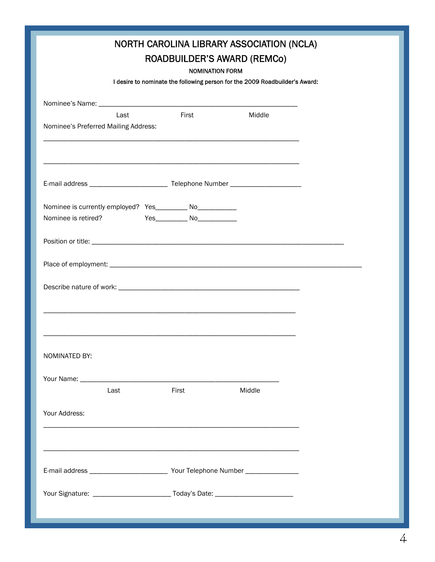| NORTH CAROLINA LIBRARY ASSOCIATION (NCLA)<br><b>ROADBUILDER'S AWARD (REMCO)</b><br><b>NOMINATION FORM</b><br>I desire to nominate the following person for the 2009 Roadbuilder's Award: |                                       |        |  |  |  |
|------------------------------------------------------------------------------------------------------------------------------------------------------------------------------------------|---------------------------------------|--------|--|--|--|
| Last<br>Nominee's Preferred Mailing Address:                                                                                                                                             | <b>First</b>                          | Middle |  |  |  |
| ,我们也不能在这里的时候,我们也不能在这里的时候,我们也不能会在这里的时候,我们也不能会在这里的时候,我们也不能会在这里的时候,我们也不能会在这里的时候,我们也                                                                                                         |                                       |        |  |  |  |
| Nominee is currently employed? Yes__________ No___________<br>Nominee is retired?                                                                                                        | Yes________________ No_______________ |        |  |  |  |
|                                                                                                                                                                                          |                                       |        |  |  |  |
|                                                                                                                                                                                          |                                       |        |  |  |  |
| NOMINATED BY:<br>Last                                                                                                                                                                    | First                                 | Middle |  |  |  |
| Your Address:                                                                                                                                                                            |                                       |        |  |  |  |
|                                                                                                                                                                                          |                                       |        |  |  |  |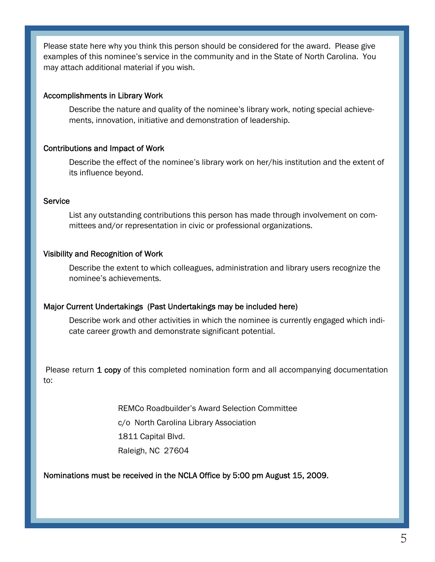Please state here why you think this person should be considered for the award. Please give examples of this nominee's service in the community and in the State of North Carolina. You may attach additional material if you wish.

#### Accomplishments in Library Work

Describe the nature and quality of the nominee's library work, noting special achievements, innovation, initiative and demonstration of leadership.

#### Contributions and Impact of Work

Describe the effect of the nominee's library work on her/his institution and the extent of its influence beyond.

#### **Service**

List any outstanding contributions this person has made through involvement on committees and/or representation in civic or professional organizations.

#### Visibility and Recognition of Work

Describe the extent to which colleagues, administration and library users recognize the nominee's achievements.

#### Major Current Undertakings (Past Undertakings may be included here)

Describe work and other activities in which the nominee is currently engaged which indicate career growth and demonstrate significant potential.

Please return 1 copy of this completed nomination form and all accompanying documentation to:

> REMCo Roadbuilder's Award Selection Committee c/o North Carolina Library Association 1811 Capital Blvd. Raleigh, NC 27604

#### Nominations must be received in the NCLA Office by 5:00 pm August 15, 2009.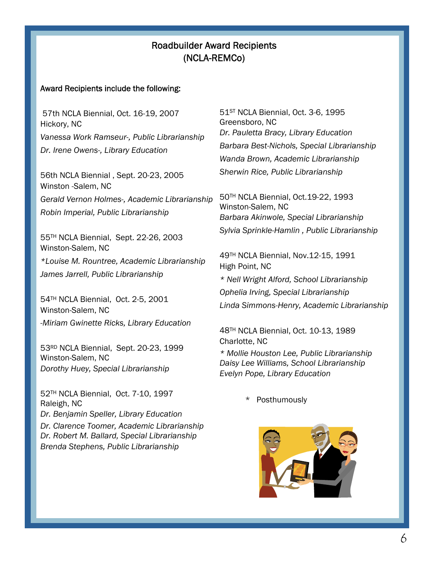## Roadbuilder Award Recipients (NCLA-REMCo)

#### Award Recipients include the following:

 57th NCLA Biennial, Oct. 16-19, 2007 Hickory, NC *Vanessa Work Ramseur-, Public Librarianship Dr. Irene Owens-, Library Education* 

56th NCLA Biennial , Sept. 20-23, 2005 Winston -Salem, NC *Gerald Vernon Holmes-, Academic Librarianship Robin Imperial, Public Librarianship* 

55TH NCLA Biennial, Sept. 22-26, 2003 Winston-Salem, NC *\*Louise M. Rountree, Academic Librarianship James Jarrell, Public Librarianship* 

54TH NCLA Biennial, Oct. 2-5, 2001 Winston-Salem, NC *-Miriam Gwinette Ricks, Library Education* 

53RD NCLA Biennial, Sept. 20-23, 1999 Winston-Salem, NC *Dorothy Huey, Special Librarianship*

52TH NCLA Biennial, Oct. 7-10, 1997 Raleigh, NC *Dr. Benjamin Speller, Library Education Dr. Clarence Toomer, Academic Librarianship Dr. Robert M. Ballard, Special Librarianship Brenda Stephens, Public Librarianship* 

51<sup>ST</sup> NCLA Biennial, Oct. 3-6, 1995 Greensboro, NC *Dr. Pauletta Bracy, Library Education Barbara Best-Nichols, Special Librarianship Wanda Brown, Academic Librarianship Sherwin Rice, Public Librarianship* 

50TH NCLA Biennial, Oct.19-22, 1993 Winston-Salem, NC *Barbara Akinwole, Special Librarianship Sylvia Sprinkle-Hamlin , Public Librarianship* 

49TH NCLA Biennial, Nov.12-15, 1991 High Point, NC

*\* Nell Wright Alford, School Librarianship* 

*Ophelia Irving, Special Librarianship Linda Simmons-Henry, Academic Librarianship* 

48TH NCLA Biennial, Oct. 10-13, 1989 Charlotte, NC *\* Mollie Houston Lee, Public Librarianship Daisy Lee Williams, School Librarianship Evelyn Pope, Library Education* 

**Posthumously** 

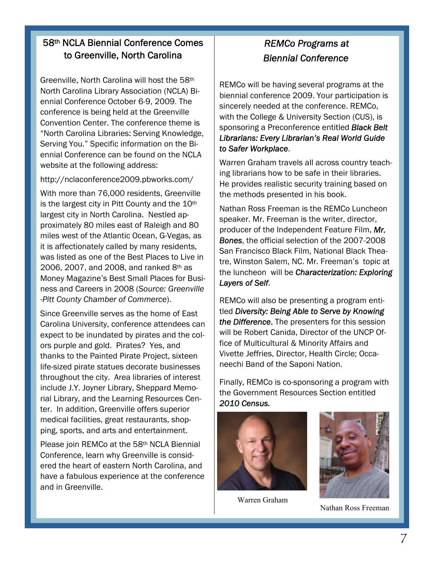## 58th NCLA Biennial Conference Comes to Greenville, North Carolina

Greenville, North Carolina will host the 58th North Carolina Library Association (NCLA) Biennial Conference October 6-9, 2009. The conference is being held at the Greenville Convention Center. The conference theme is "North Carolina Libraries: Serving Knowledge, Serving You." Specific information on the Biennial Conference can be found on the NCLA website at the following address:

http://nclaconference2009.pbworks.com/

With more than 76,000 residents, Greenville is the largest city in Pitt County and the 10<sup>th</sup> largest city in North Carolina. Nestled approximately 80 miles east of Raleigh and 80 miles west of the Atlantic Ocean, G-Vegas, as it is affectionately called by many residents, was listed as one of the Best Places to Live in 2006, 2007, and 2008, and ranked 8th as Money Magazine's Best Small Places for Business and Careers in 2008 (*Source: Greenville -Pitt County Chamber of Commerce*).

Since Greenville serves as the home of East Carolina University, conference attendees can expect to be inundated by pirates and the colors purple and gold. Pirates? Yes, and thanks to the Painted Pirate Project, sixteen life-sized pirate statues decorate businesses throughout the city. Area libraries of interest include J.Y. Joyner Library, Sheppard Memorial Library, and the Learning Resources Center. In addition, Greenville offers superior medical facilities, great restaurants, shopping, sports, and arts and entertainment.

Please join REMCo at the 58th NCLA Biennial Conference, learn why Greenville is considered the heart of eastern North Carolina, and have a fabulous experience at the conference and in Greenville.

## *REMCo Programs at Biennial Conference*

REMCo will be having several programs at the biennial conference 2009. Your participation is sincerely needed at the conference. REMCo, with the College & University Section (CUS), is sponsoring a Preconference entitled *Black Belt Librarians: Every Librarian's Real World Guide to Safer Workplace*.

Warren Graham travels all across country teaching librarians how to be safe in their libraries. He provides realistic security training based on the methods presented in his book.

Nathan Ross Freeman is the REMCo Luncheon speaker. Mr. Freeman is the writer, director, producer of the Independent Feature Film, *Mr. Bones*, the official selection of the 2007-2008 San Francisco Black Film, National Black Theatre, Winston Salem, NC. Mr. Freeman's topic at the luncheon will be *Characterization: Exploring Layers of Self*.

REMCo will also be presenting a program entitled *Diversity: Being Able to Serve by Knowing the Difference*. The presenters for this session will be Robert Canida, Director of the UNCP Office of Multicultural & Minority Affairs and Vivette Jeffries, Director, Health Circle; Occaneechi Band of the Saponi Nation.

Finally, REMCo is co-sponsoring a program with the Government Resources Section entitled *2010 Census.*



Warren Graham



Nathan Ross Freeman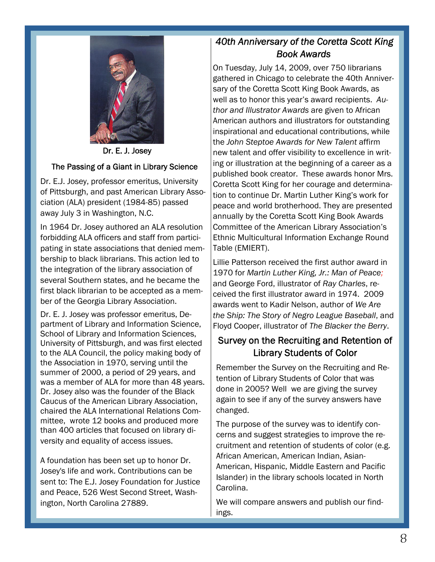

Dr. E. J. Josey

#### The Passing of a Giant in Library Science

Dr. E.J. Josey, professor emeritus, University of Pittsburgh, and past American Library Association (ALA) president (1984-85) passed away July 3 in Washington, N.C.

In 1964 Dr. Josey authored an ALA resolution forbidding ALA officers and staff from participating in state associations that denied membership to black librarians. This action led to the integration of the library association of several Southern states, and he became the first black librarian to be accepted as a member of the Georgia Library Association.

Dr. E. J. Josey was professor emeritus, Department of Library and Information Science, School of Library and Information Sciences, University of Pittsburgh, and was first elected to the ALA Council, the policy making body of the Association in 1970, serving until the summer of 2000, a period of 29 years, and was a member of ALA for more than 48 years. Dr. Josey also was the founder of the Black Caucus of the American Library Association, chaired the ALA International Relations Committee, wrote 12 books and produced more than 400 articles that focused on library diversity and equality of access issues.

A foundation has been set up to honor Dr. Josey's life and work. Contributions can be sent to: The E.J. Josey Foundation for Justice and Peace, 526 West Second Street, Washington, North Carolina 27889.

## *40th Anniversary of the Coretta Scott King Book Awards*

On Tuesday, July 14, 2009, over 750 librarians gathered in Chicago to celebrate the 40th Anniversary of the Coretta Scott King Book Awards, as well as to honor this year's award recipients. *Author and Illustrator Awards* are given to African American authors and illustrators for outstanding inspirational and educational contributions, while the *John Steptoe Awards for New Talent* affirm new talent and offer visibility to excellence in writing or illustration at the beginning of a career as a published book creator. These awards honor Mrs. Coretta Scott King for her courage and determination to continue Dr. Martin Luther King's work for peace and world brotherhood. They are presented annually by the Coretta Scott King Book Awards Committee of the American Library Association's Ethnic Multicultural Information Exchange Round Table (EMIERT).

Lillie Patterson received the first author award in 1970 for *Martin Luther King, Jr.: Man of Peace;* and George Ford, illustrator of *Ray Charles*, received the first illustrator award in 1974. 2009 awards went to Kadir Nelson, author of *We Are the Ship: The Story of Negro League Baseball*, and Floyd Cooper, illustrator of *The Blacker the Berry*.

## Survey on the Recruiting and Retention of Library Students of Color

Remember the Survey on the Recruiting and Retention of Library Students of Color that was done in 2005? Well we are giving the survey again to see if any of the survey answers have changed.

The purpose of the survey was to identify concerns and suggest strategies to improve the recruitment and retention of students of color (e.g. African American, American Indian, Asian-American, Hispanic, Middle Eastern and Pacific Islander) in the library schools located in North Carolina.

We will compare answers and publish our findings.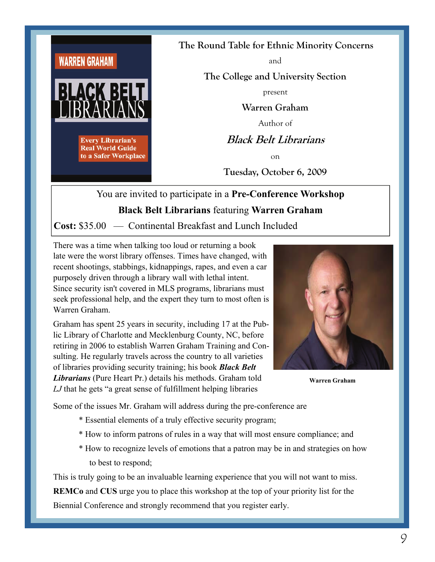

**The Round Table for Ethnic Minority Concerns**

and

**The College and University Section** 

present

**Warren Graham** 

Author of

**Black Belt Librarians** 

on

**Tuesday, October 6, 2009** 

## You are invited to participate in a **Pre-Conference Workshop Black Belt Librarians** featuring **Warren Graham**

**Cost:** \$35.00 — Continental Breakfast and Lunch Included

There was a time when talking too loud or returning a book late were the worst library offenses. Times have changed, with recent shootings, stabbings, kidnappings, rapes, and even a car purposely driven through a library wall with lethal intent. Since security isn't covered in MLS programs, librarians must seek professional help, and the expert they turn to most often is Warren Graham.

Graham has spent 25 years in security, including 17 at the Public Library of Charlotte and Mecklenburg County, NC, before retiring in 2006 to establish Warren Graham Training and Consulting. He regularly travels across the country to all varieties of libraries providing security training; his book *Black Belt Librarians* (Pure Heart Pr.) details his methods. Graham told *LJ* that he gets "a great sense of fulfillment helping libraries



**Warren Graham** 

Some of the issues Mr. Graham will address during the pre-conference are

- \* Essential elements of a truly effective security program;
- \* How to inform patrons of rules in a way that will most ensure compliance; and
- \* How to recognize levels of emotions that a patron may be in and strategies on how to best to respond;

This is truly going to be an invaluable learning experience that you will not want to miss. **REMCo** and **CUS** urge you to place this workshop at the top of your priority list for the Biennial Conference and strongly recommend that you register early.